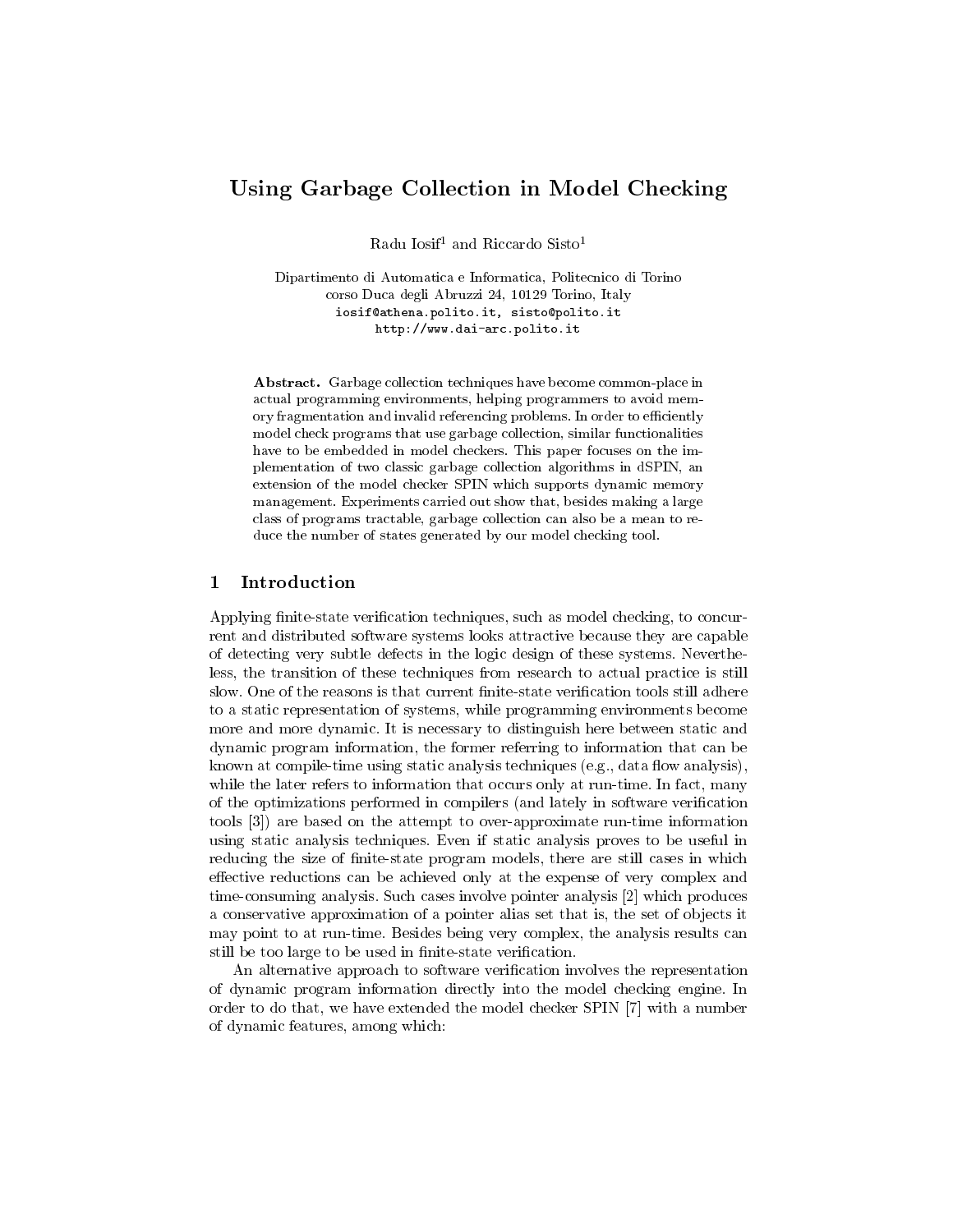# Using Garbage Collection in Model Checking

Radu Iosif<sup>1</sup> and Riccardo Sisto<sup>1</sup>

Dipartimento di Automatica e Informatica, Politecnico di Torino corso Duca degli Abruzzi 24, 10129 Torino, Italy iosif@athena.polito.it, sisto@polito.it http://www.dai-arc.polito.it

Abstract. Garbage collection techniques have become common-place in actual programming environments, helping programmers to avoid memory fragmentation and invalid referencing problems. In order to efficiently model check programs that use garbage collection, similar functionalities have to be embedded in model checkers. This paper focuses on the implementation of two classic garbage collection algorithms in dSPIN, an extension of the model checker SPIN which supports dynamic memory management. Experiments carried out show that, besides making a large class of programs tractable, garbage collection can also be a mean to reduce the number of states generated by our model checking tool.

### Introduction

Applying finite-state verification techniques, such as model checking, to concurrent and distributed software systems looks attractive because they are capable of detecting very subtle defects in the logic design of these systems. Nevertheless, the transition of these techniques from research to actual practice is still slow. One of the reasons is that current finite-state verification tools still adhere to a static representation of systems, while programming environments become more and more dynamic. It is necessary to distinguish here between static and dynamic program information, the former referring to information that can be known at compile-time using static analysis techniques (e.g., data flow analysis), while the later refers to information that occurs only at run-time. In fact, many of the optimizations performed in compilers (and lately in software verication tools [3]) are based on the attempt to over-approximate run-time information using static analysis techniques. Even if static analysis proves to be useful in reducing the size of finite-state program models, there are still cases in which effective reductions can be achieved only at the expense of very complex and time-consuming analysis. Such cases involve pointer analysis [2] which produces a conservative approximation of a pointer alias set that is, the set of objects it may point to at run-time. Besides being very complex, the analysis results can still be too large to be used in finite-state verification.

An alternative approach to software verification involves the representation of dynamic program information directly into the model checking engine. In order to do that, we have extended the model checker SPIN [7] with a number of dynamic features, among which: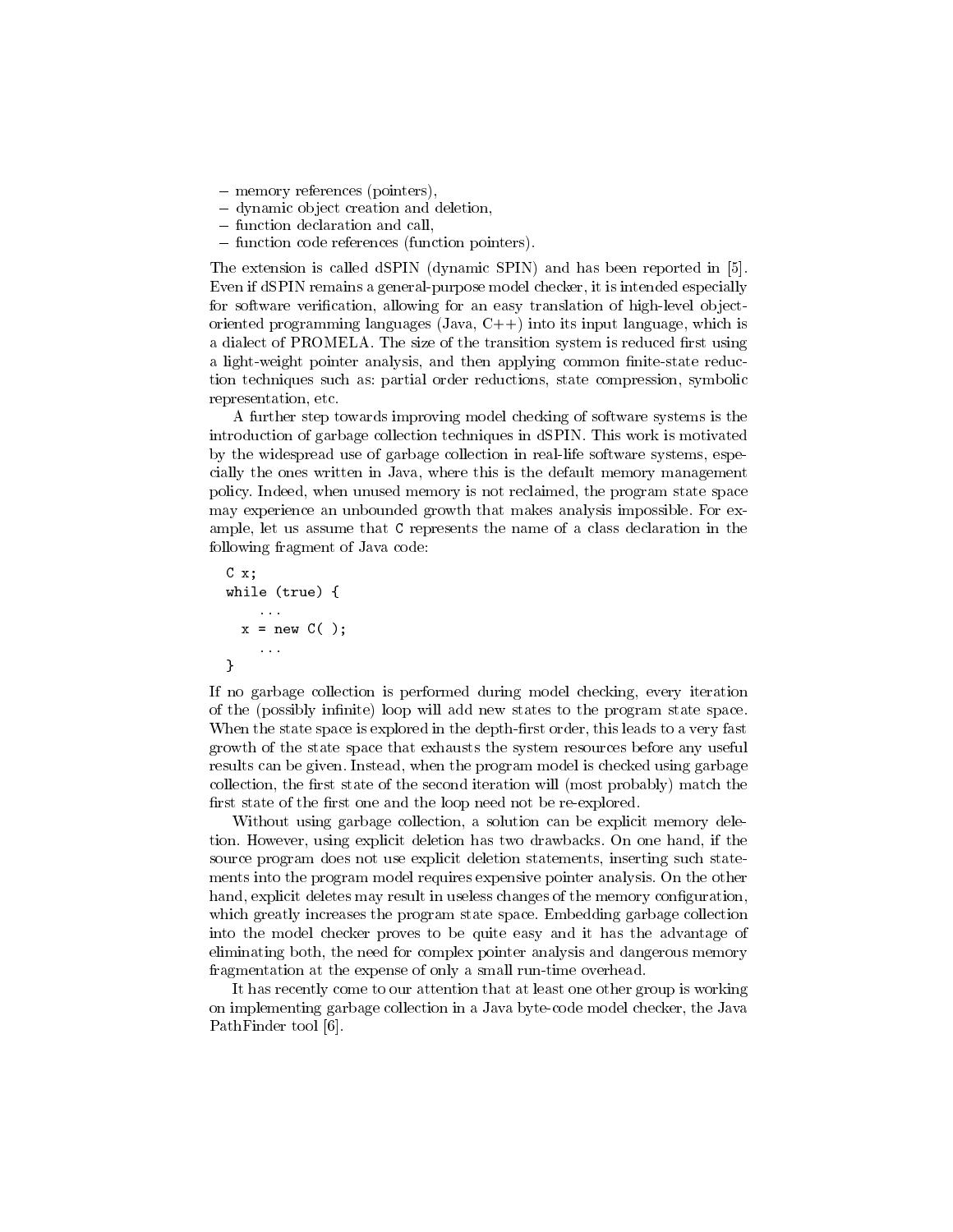- ${\bf m}$  . The state of  ${\bf m}$  references (pointers),
- { dynamic ob ject creation and deletion,
- { function declaration and call,
- { function code references (function pointers).

The extension is called dSPIN (dynamic SPIN) and has been reported in [5]. Even if dSPIN remains a general-purpose model checker, it is intended especially for software verification, allowing for an easy translation of high-level objectoriented programming languages (Java,  $C_{++}$ ) into its input language, which is a dialect of PROMELA. The size of the transition system is reduced first using a light-weight pointer analysis, and then applying common finite-state reduction techniques such as: partial order reductions, state compression, symbolic representation, etc.

A further step towards improving model checking of software systems is the introduction of garbage collection techniques in dSPIN. This work is motivated by the widespread use of garbage collection in real-life software systems, especially the ones written in Java, where this is the default memory management policy. Indeed, when unused memory is not reclaimed, the program state space may experience an unbounded growth that makes analysis impossible. For example, let us assume that <sup>C</sup> represents the name of a class declaration in the following fragment of Java code:

```
\n
$$
C x;
$$
\nwhile (true) {\n    ...\n    x = new C( );\n    ...\n}\n
```

If no garbage collection is performed during model checking, every iteration of the (possibly infinite) loop will add new states to the program state space. When the state space is explored in the depth-first order, this leads to a very fast growth of the state space that exhausts the system resources before any useful results can be given. Instead, when the program model is checked using garbage collection, the first state of the second iteration will (most probably) match the first state of the first one and the loop need not be re-explored.

Without using garbage collection, a solution can be explicit memory deletion. However, using explicit deletion has two drawbacks. On one hand, if the source program does not use explicit deletion statements, inserting such statements into the program model requires expensive pointer analysis. On the other hand, explicit deletes may result in useless changes of the memory configuration, which greatly increases the program state space. Embedding garbage collection into the model checker proves to be quite easy and it has the advantage of eliminating both, the need for complex pointer analysis and dangerous memory fragmentation at the expense of only a small run-time overhead.

It has recently come to our attention that at least one other group is working on implementing garbage collection in a Java byte-code model checker, the Java PathFinder tool [6].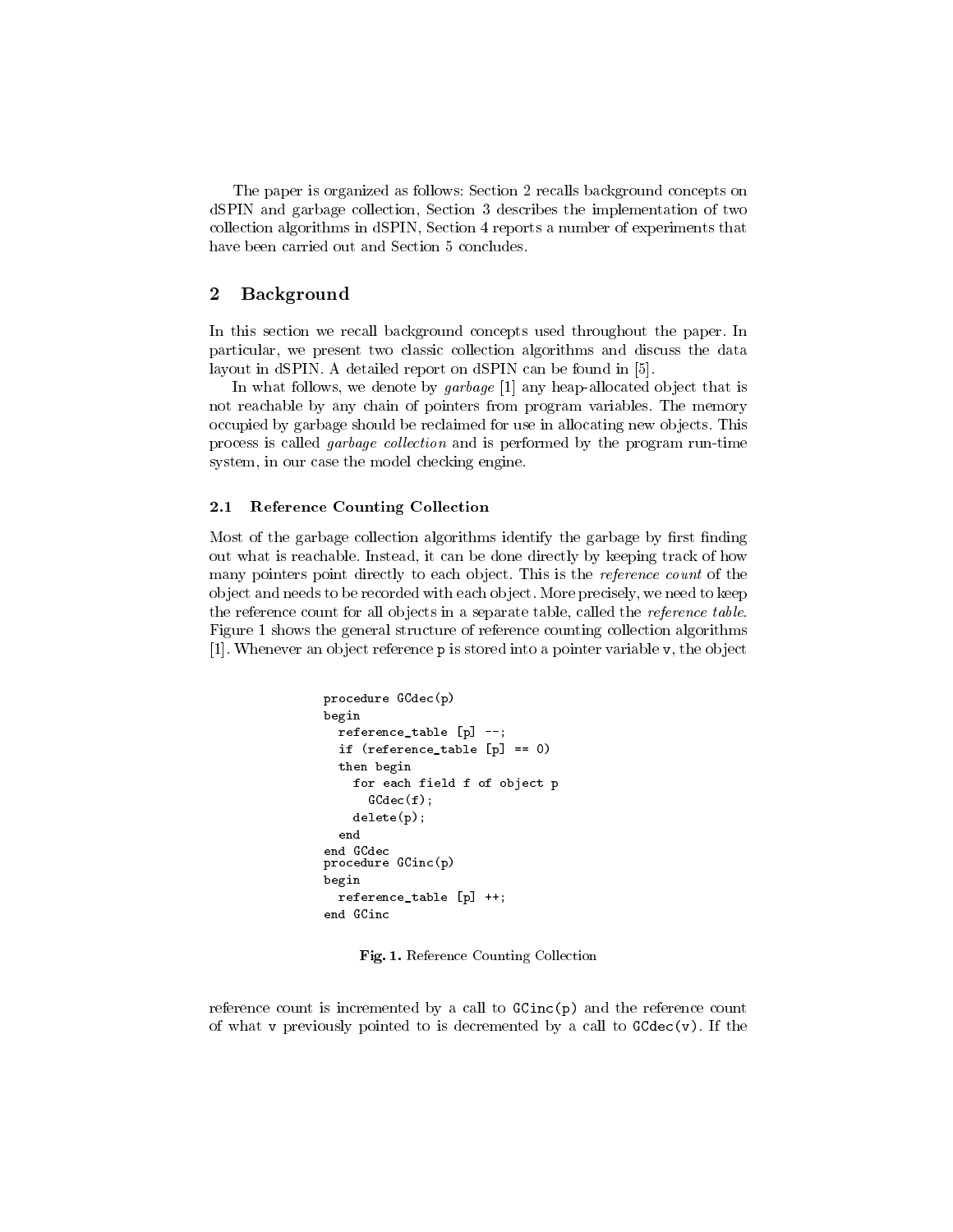The paper is organized as follows: Section 2 recalls background concepts on dSPIN and garbage collection, Section 3 describes the implementation of two collection algorithms in dSPIN, Section 4 reports a number of experiments that have been carried out and Section 5 concludes.

### Background

In this section we recall background concepts used throughout the paper. In particular, we present two classic collection algorithms and discuss the data layout in dSPIN. A detailed report on dSPIN can be found in [5].

In what follows, we denote by  $garbage$  [1] any heap-allocated object that is not reachable by any chain of pointers from program variables. The memory occupied by garbage should be reclaimed for use in allocating new objects. This process is called *garbage collection* and is performed by the program run-time system, in our case the model checking engine.

#### 2.1Reference Counting Collection

Most of the garbage collection algorithms identify the garbage by first finding out what is reachable. Instead, it can be done directly by keeping track of how many pointers point directly to each object. This is the *reference count* of the ob ject and needs to be recorded with each ob ject. More precisely, we need to keep the reference count for all objects in a separate table, called the *reference table*. Figure 1 shows the general structure of reference counting collection algorithms [1]. Whenever an ob ject reference <sup>p</sup> is stored into a pointer variable v, the ob ject

```
procedure GCdec(p)
beginreference_table [p] --;
    \mathbf{r} , and the contract contract \mathbf{r} , we obtain
    the begin begins the property of the begins of the begins of the begins of the begins of the begins of the begins of the begins of the begins of the begins of the begins of the begins of the begins of the begins of the beg
        for each field f of object p
           GCdec(f);delete(p);end
    endend deute GCinc(p)
beginreference_table [p] ++;
```
Fig. 1. Reference Counting Collection

reference count is incremented by a call to  $GCinc(p)$  and the reference count of what v previously pointed to is decremented by a call to  $GCdec(v)$ . If the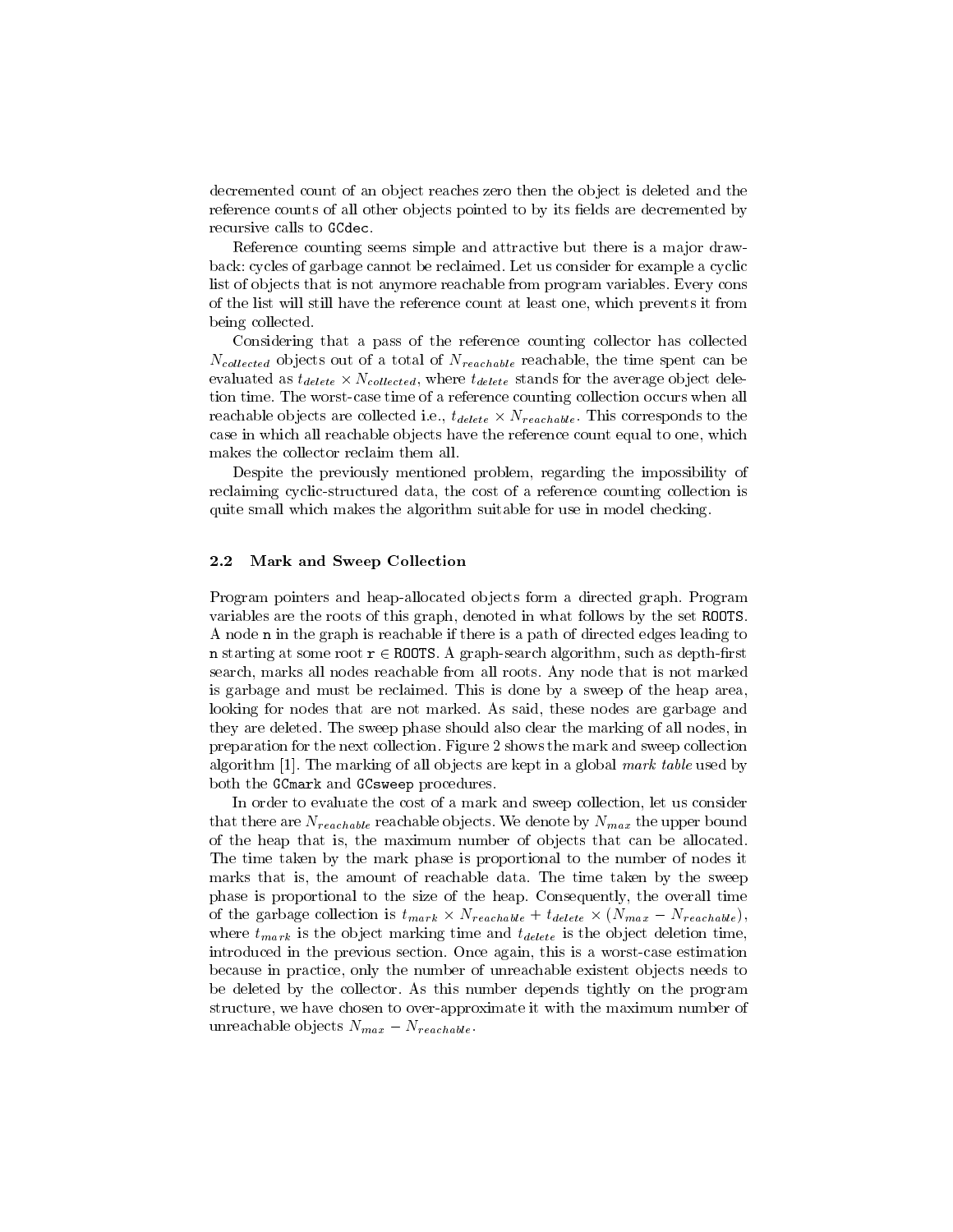decremented count of an object reaches zero then the object is deleted and the reference counts of all other objects pointed to by its fields are decremented by recursive calls to GCdec.

Reference counting seems simple and attractive but there is a major drawback: cycles of garbage cannot be reclaimed. Let us consider for example a cyclic list of objects that is not anymore reachable from program variables. Every cons of the list will still have the reference count at least one, which prevents it from being collected.

Considering that a pass of the reference counting collector has collected  $N_{collected}$  objects out of a total of  $N_{reachable}$  reachable, the time spent can be evaluated as the standard - Ncollection - where the average observed, where the average ob ject deletion time. The worst-case time of a reference counting collection occurs when all reachable ob jects are collected i.e., the corresponding  $\sim$  1000,00000  $\sim$  the this corresponds to the corre case in which all reachable objects have the reference count equal to one, which makes the collector reclaim them all.

Despite the previously mentioned problem, regarding the impossibility of reclaiming cyclic-structured data, the cost of a reference counting collection is quite small which makes the algorithm suitable for use in model checking.

#### 2.2Mark and Sweep Collection

Program pointers and heap-allocated objects form a directed graph. Program variables are the roots of this graph, denoted in what follows by the set ROOTS. A node <sup>n</sup> in the graph is reachable if there is a path of directed edges leading to n starting at some root  $r \in$  ROOTS. A graph-search algorithm, such as depth-first search, marks all nodes reachable from all roots. Any node that is not marked is garbage and must be reclaimed. This is done by a sweep of the heap area, looking for nodes that are not marked. As said, these nodes are garbage and they are deleted. The sweep phase should also clear the marking of all nodes, in preparation for the next collection. Figure 2 shows the mark and sweep collection algorithm [1]. The marking of all ob jects are kept in a global mark table used by both the GCmark and GCsweep procedures.

In order to evaluate the cost of a mark and sweep collection, let us consider that there are  $N_{reachable}$  reachable objects. We denote by  $N_{max}$  the upper bound of the heap that is, the maximum number of objects that can be allocated. The time taken by the mark phase is proportional to the number of nodes it marks that is, the amount of reachable data. The time taken by the sweep phase is proportional to the size of the heap. Consequently, the overall time of the garbage collection is tmark - Nreachable <sup>+</sup> tdelete - (Nmax Nreachable), where  $t_{mark}$  is the object marking time and  $t_{delete}$  is the object deletion time, introduced in the previous section. Once again, this is a worst-case estimation because in practice, only the number of unreachable existent ob jects needs to be deleted by the collector. As this number depends tightly on the program structure, we have chosen to over-approximate it with the maximum number of unreachable objects  $N_{max} - N_{reachable}$ .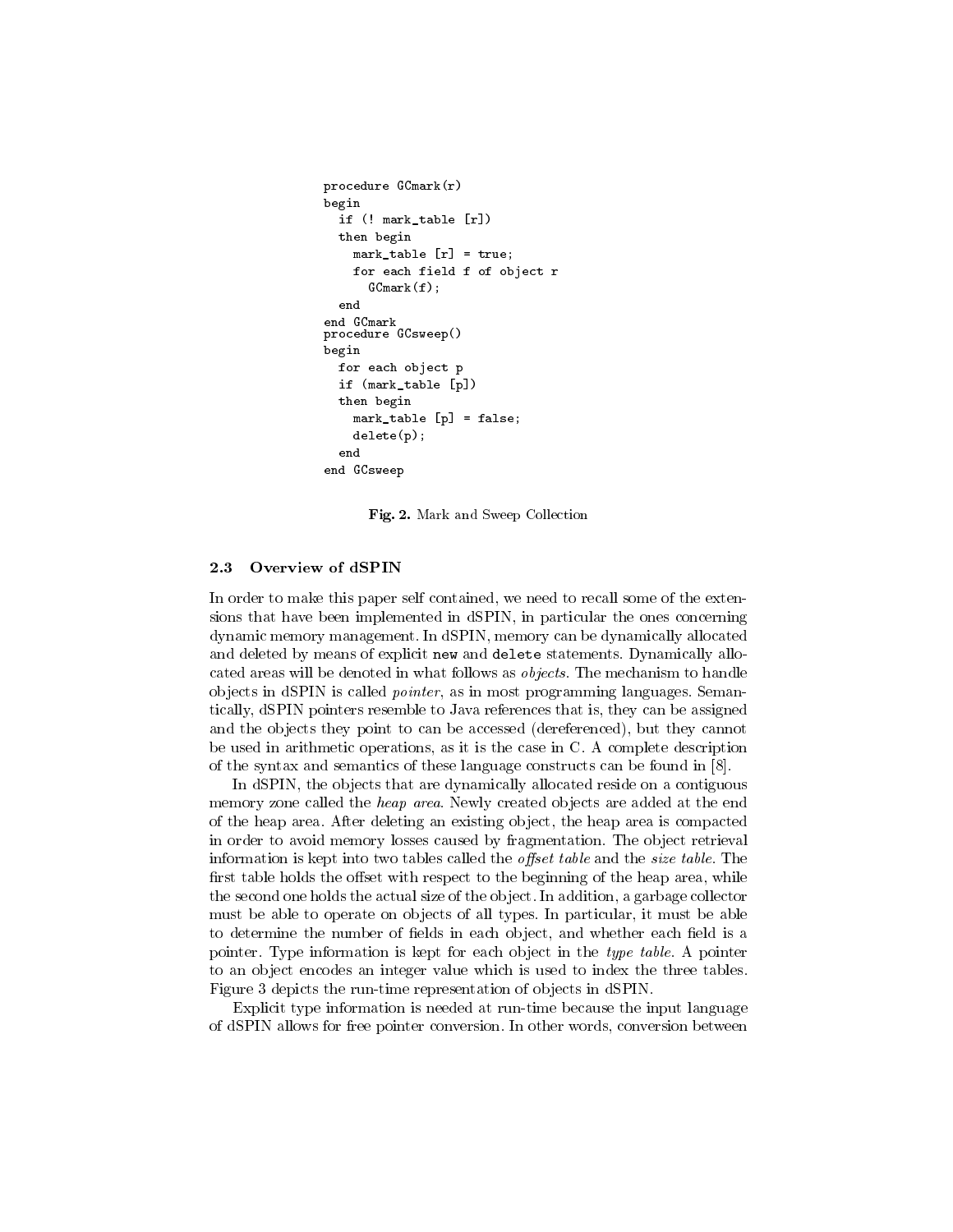```
p = 0 . Generally, p = 0beginif (i) mathematic contracts and interests are a set of the contract of the contract of the contract of the contract of the contract of the contract of the contract of the contract of the contract of the contract of the con
     the begin begins the property of the begins of the begins of the begins of the begins of the begins of the begins of the begins of the begins of the begins of the begins of the begins of the begins of the begins of the beg
         mark_table [r] = true;
         for each field f of object r
             GCmark(f);end
end GCmark
procedure GCsweep()
beginfor each object p
     if (mark_table [p])
     \sim then begins the property of \simmark_table [p] = false;
        delete(p);endend GCsweep
```
Fig. 2. Mark and Sweep Collection

#### 2.3Overview of dSPIN

In order to make this paper self contained, we need to recall some of the extensions that have been implemented in dSPIN, in particular the ones concerning dynamic memory management. In dSPIN, memory can be dynamically allocated and deleted by means of explicit new and delete statements. Dynamically allocated areas will be denoted in what follows as objects. The mechanism to handle ob jects in dSPIN is called pointer, as in most programming languages. Semantically, dSPIN pointers resemble to Java references that is, they can be assigned and the objects they point to can be accessed (dereferenced), but they cannot be used in arithmetic operations, as it is the case in C. A complete description of the syntax and semantics of these language constructs can be found in [8].

In dSPIN, the objects that are dynamically allocated reside on a contiguous memory zone called the *heap area*. Newly created objects are added at the end of the heap area. After deleting an existing ob ject, the heap area is compacted in order to avoid memory losses caused by fragmentation. The object retrieval information is kept into two tables called the *offset table* and the *size table*. The first table holds the offset with respect to the beginning of the heap area, while the second one holds the actual size of the ob ject. In addition, a garbage collector must be able to operate on objects of all types. In particular, it must be able to determine the number of fields in each object, and whether each field is a pointer. Type information is kept for each object in the *type table*. A pointer to an object encodes an integer value which is used to index the three tables. Figure 3 depicts the run-time representation of objects in dSPIN.

Explicit type information is needed at run-time because the input language of dSPIN allows for free pointer conversion. In other words, conversion between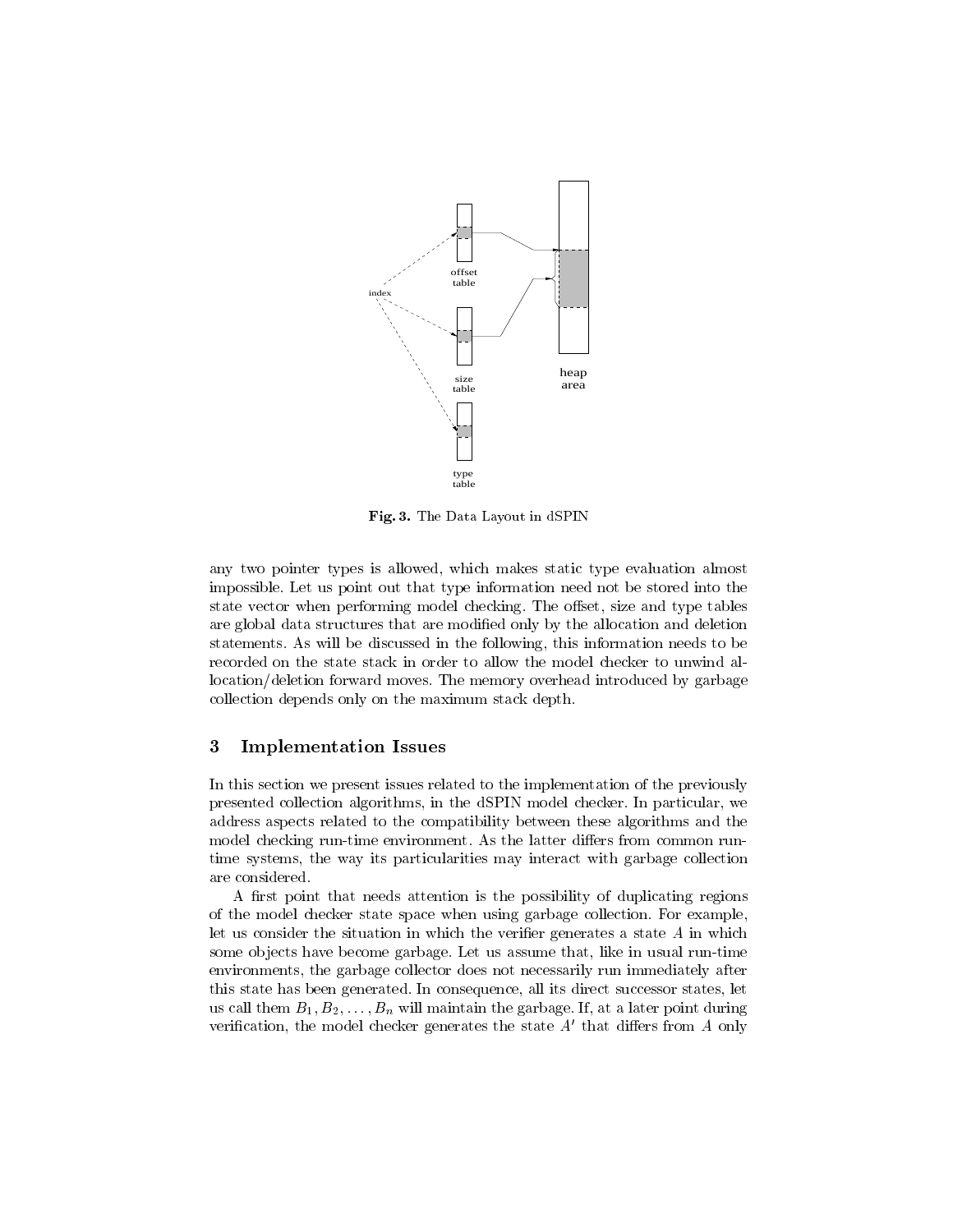

Fig. 3. The Data Layout in dSPIN

any two pointer types is allowed, which makes static type evaluation almost impossible. Let us point out that type information need not be stored into the state vector when performing model checking. The offset, size and type tables are global data structures that are modied only by the allocation and deletion statements. As will be discussed in the following, this information needs to be recorded on the state stack in order to allow the model checker to unwind allocation/deletion forward moves. The memory overhead introduced by garbage collection depends only on the maximum stack depth.

#### 3Implementation Issues

In this section we present issues related to the implementation of the previously presented collection algorithms, in the dSPIN model checker. In particular, we address aspects related to the compatibility between these algorithms and the model checking run-time environment. As the latter differs from common runtime systems, the way its particularities may interact with garbage collection are considered.

A first point that needs attention is the possibility of duplicating regions of the model checker state space when using garbage collection. For example, let us consider the situation in which the verifier generates a state  $A$  in which some ob jects have become garbage. Let us assume that, like in usual run-time environments, the garbage collector does not necessarily run immediately after this state has been generated. In consequence, all its direct successor states, let us call them  $B_1, B_2, \ldots, B_n$  will maintain the garbage. If, at a later point during verification, the model checker generates the state  $A'$  that differs from  $A$  only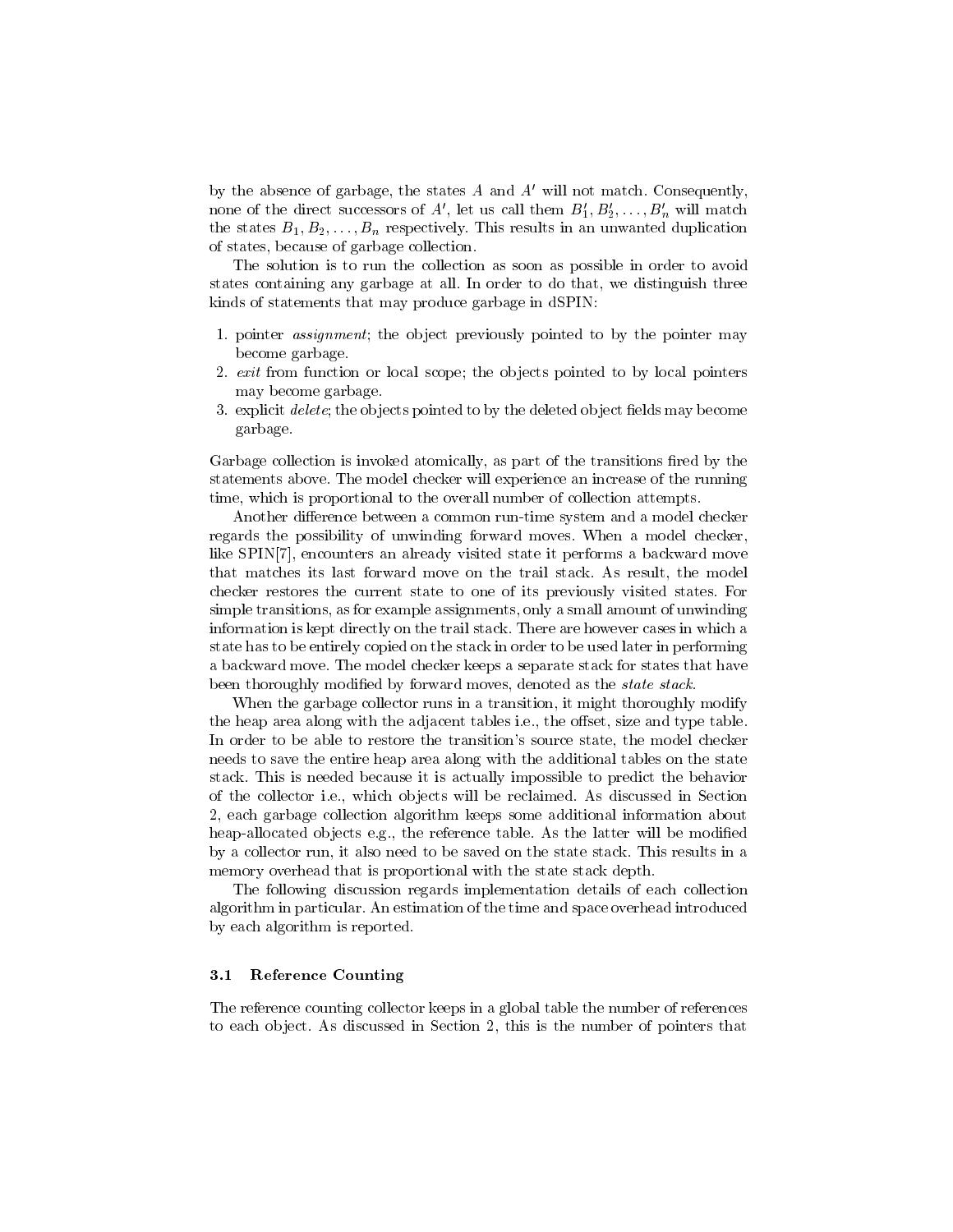by the absence of garbage, the states  $A$  and  $A'$  will not match. Consequently, none of the direct successors of A', let us call them  $B'_1, B'_2, \ldots, B'_n$  will match the states  $B_1, B_2, \ldots, B_n$  respectively. This results in an unwanted duplication of states, because of garbage collection.

The solution isto run the collection as soon as possible in order to avoid states containing any garbage at all. In order to do that, we distinguish three kinds of statements that may produce garbage in dSPIN:

- 1. pointer *assignment*; the object previously pointed to by the pointer may become garbage.
- 2. exit from function or local scope; the objects pointed to by local pointers may become garbage.
- 3. explicit *delete*; the objects pointed to by the deleted object fields may become garbage.

Garbage collection is invoked atomically, as part of the transitions fired by the statements above. The model checker will experience an increase of the running time, which is proportional to the overall number of collection attempts.

Another difference between a common run-time system and a model checker regards the possibility of unwinding forward moves. When a model checker, like SPIN[7], encounters an already visited state it performs a backward move that matches its last forward move on the trail stack. As result, the model checker restores the current state to one of its previously visited states. For simple transitions, as for example assignments, only a small amount of unwinding information is kept directly on the trail stack. There are however cases in which a state has to be entirely copied on the stack in order to be used later in performing a backward move. The model checker keeps a separate stack for states that have been thoroughly modified by forward moves, denoted as the *state stack*.

When the garbage collector runs in a transition, it might thoroughly modify the heap area along with the adjacent tables i.e., the offset, size and type table. In order to be able to restore the transition's source state, the model checker needs to save the entire heap area along with the additional tables on the state stack. This is needed because it is actually impossible to predict the behavior of the collector i.e., which ob jects will be reclaimed. As discussed in Section 2, each garbage collection algorithm keeps some additional information about heap-allocated objects e.g., the reference table. As the latter will be modified by a collector run, it also need to be saved on the state stack. This results in a memory overhead that is proportional with the state stack depth.

The following discussion regards implementation details of each collection algorithm in particular. An estimation of the time and space overhead introduced by each algorithm is reported.

#### 3.1Reference Counting

The reference counting collector keeps in a global table the number of references to each ob ject. As discussed in Section 2, this is the number of pointers that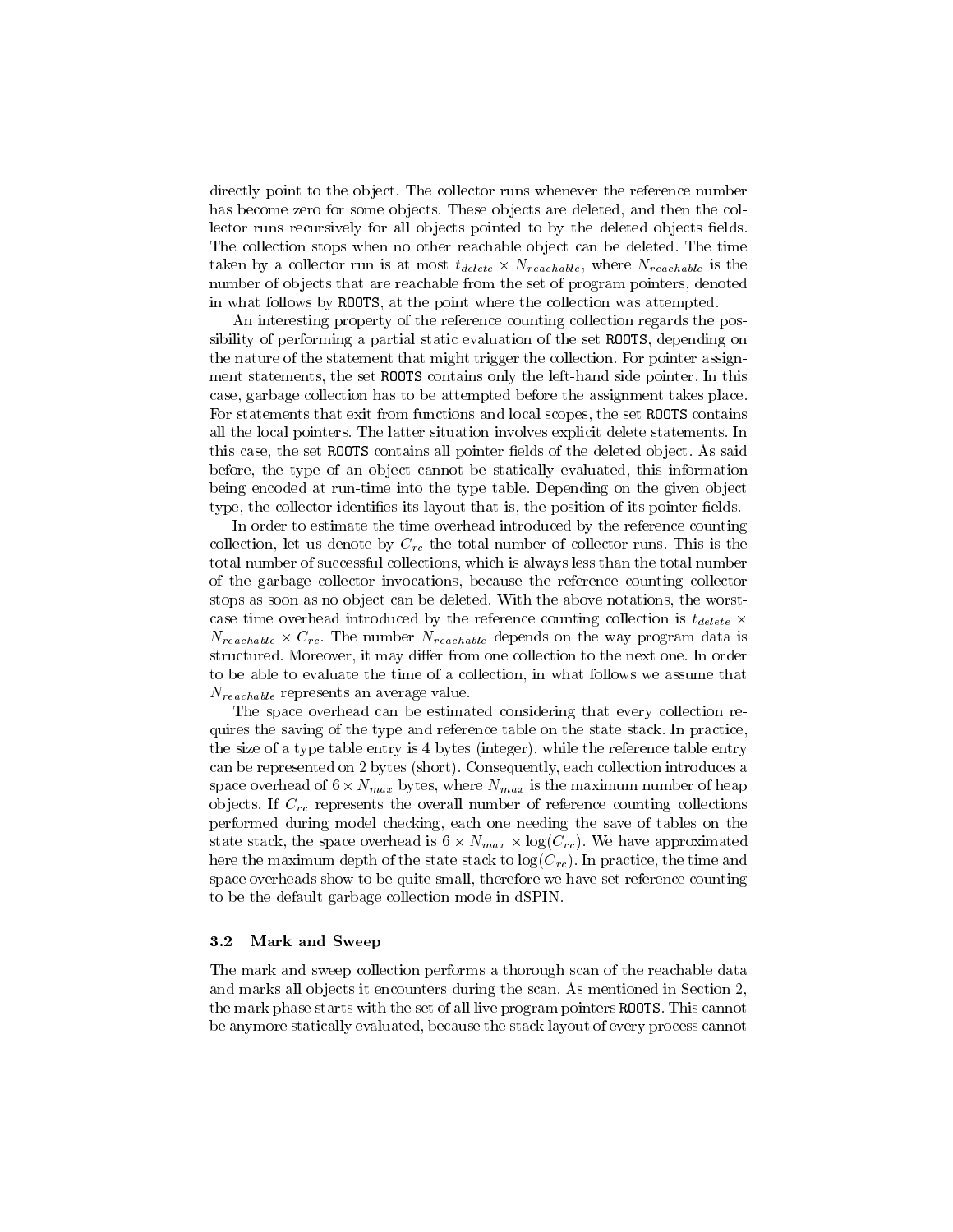directly point to the object. The collector runs whenever the reference number has become zero for some objects. These objects are deleted, and then the collector runs recursively for all objects pointed to by the deleted objects fields. The collection stops when no other reachable object can be deleted. The time taken by a collector run is at most the second run is the  $\mu$  run  $\mu$  is the Nr. Activities is the Nreachable number of objects that are reachable from the set of program pointers, denoted in what follows by ROOTS, at the point where the collection was attempted.

An interesting property of the reference counting collection regards the possibility of performing a partial static evaluation of the set ROOTS, depending on the nature of the statement that might trigger the collection. For pointer assignment statements, the set ROOTS contains only the left-hand side pointer. In this case, garbage collection has to be attempted before the assignment takes place. For statements that exit from functions and local scopes, the set ROOTS contains all the local pointers. The latter situation involves explicit delete statements. In this case, the set ROOTS contains all pointer fields of the deleted object. As said before, the type of an object cannot be statically evaluated, this information being encoded at run-time into the type table. Depending on the given ob ject type, the collector identifies its layout that is, the position of its pointer fields.

In order to estimate the time overhead introduced by the reference counting collection, let us denote by  $C_{rc}$  the total number of collector runs. This is the total number of successful collections, which is always less than the total number of the garbage collector invocations, because the reference counting collector stops as soon as no object can be deleted. With the above notations, the worstcase time overhead introduced by the reference counting collection is  $t_{delete} \times$ Nreachable - Crc. The number Nreachable depends on the way program data is structured. Moreover, it may differ from one collection to the next one. In order to be able to evaluate the time of a collection, in what follows we assume that  $N_{reachable}$  represents an average value.

The space overhead can be estimated considering that every collection requires the saving of the type and reference table on the state stack. In practice, the size of a type table entry is 4 bytes (integer), while the reference table entry can be represented on 2 bytes (short). Consequently, each collection introduces a space over the finite maximum number of  $m_{\rm min}$  is the maximum number of the maximum number of  $\sim$   $\sim$   $\sim$ objects. If  $C_{rc}$  represents the overall number of reference counting collections performed during model checking, each one needing the save of tables on the state state state state over the space over the space over the space of  $\mathcal{W}$  and  $\mathcal{W}$ here the maximum depth of the state stack to  $log(C_{rc})$ . In practice, the time and space overheads show to be quite small, therefore we have set reference counting to be the default garbage collection mode in dSPIN.

#### 3.2Mark and Sweep

The mark and sweep collection performs a thorough scan of the reachable data and marks all objects it encounters during the scan. As mentioned in Section 2. the mark phase starts with the set of all live program pointers ROOTS. This cannot be anymore statically evaluated, because the stack layout of every process cannot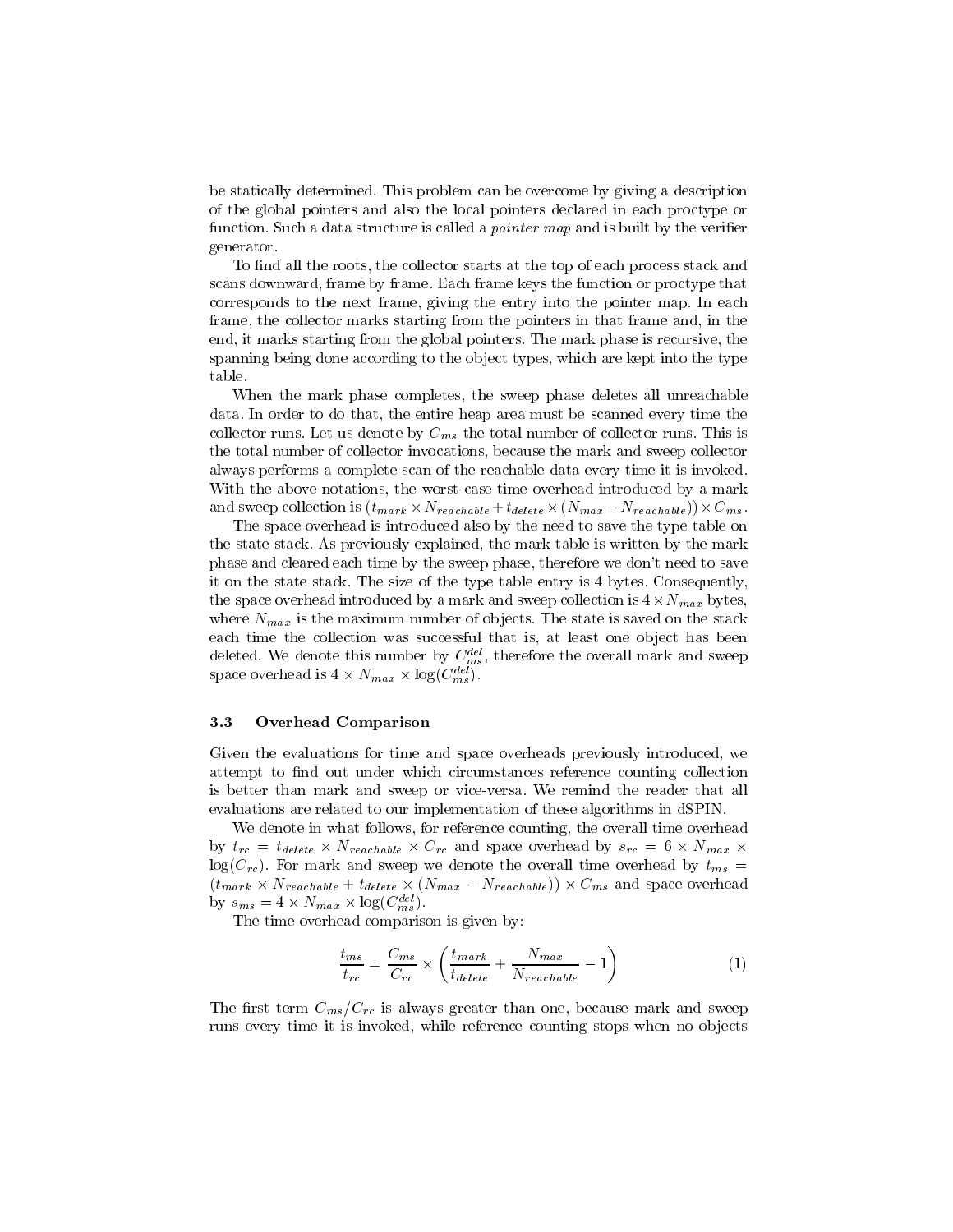be statically determined. This problem can be overcome by giving a description of the global pointers and also the local pointers declared in each proctype or function. Such a data structure is called a *pointer map* and is built by the verifier generator.

To find all the roots, the collector starts at the top of each process stack and scans downward, frame by frame. Each frame keys the function or proctype that corresponds to the next frame, giving the entry into the pointer map. In each frame, the collector marks starting from the pointers in that frame and, in the end, it marks starting from the global pointers. The mark phase is recursive, the spanning being done according to the object types, which are kept into the type table.

When the mark phase completes, the sweep phase deletes all unreachable data. In order to do that, the entire heap area must be scanned every time the collector runs. Let us denote by  $C_{ms}$  the total number of collector runs. This is the total number of collector invocations, because the mark and sweep collector always performs a complete scan of the reachable data every time it is invoked. With the above notations, the worst-case time overhead introduced by a mark and sweep collection is (the tractivity of the tractive -theory) - (not the the tractivity of the tractivity of

The space overhead is introduced also by the need to save the type table on the state stack. As previously explained, the mark table is written by the mark phase and cleared each time by the sweep phase, therefore we don't need to save it on the state stack. The size of the type table entry is 4 bytes. Consequently, the space overhead introduced by a mark and sweep collection is 4-Nmax bytes, where  $N_{max}$  is the maximum number of objects. The state is saved on the stack each time the collection was successful that is, at least one object has been deleted. We denote this number by  $C_{ms}^{\text{}}$ , therefore the overall mark and sweep space overhead is  $4 \times N_{max} \times \log(\overline{C_{ms}})$ .

#### 3.3Overhead Comparison

Given the evaluations for time and space overheads previously introduced, we attempt to find out under which circumstances reference counting collection is better than mark and sweep or vice-versa. We remind the reader that all evaluations are related to our implementation of these algorithms in dSPIN.

We denote in what follows, for reference counting, the overall time overhead by trc <sup>=</sup> tdelete - Nreachable - Crc and space overhead by src <sup>=</sup> <sup>6</sup> - Nmax  $log(C_{rc})$ . For mark and sweep we denote the overall time overhead by  $t_{ms}$  =  $\ell$  -definition - the space of  $\ell$  -definition - the contribution of  $\ell$  -definition - the space of  $\ell$ by  $s_{ms} = 4 \times N_{max} \times \log(\overline{C_{ms}})$ .

The time overhead comparison is given by:

$$
\frac{t_{ms}}{t_{rc}} = \frac{C_{ms}}{C_{rc}} \times \left(\frac{t_{mark}}{t_{delete}} + \frac{N_{max}}{N_{reachable}} - 1\right)
$$
 (1)

The first term  $C_{ms}/C_{rc}$  is always greater than one, because mark and sweep runs every time it is invoked, while reference counting stops when no objects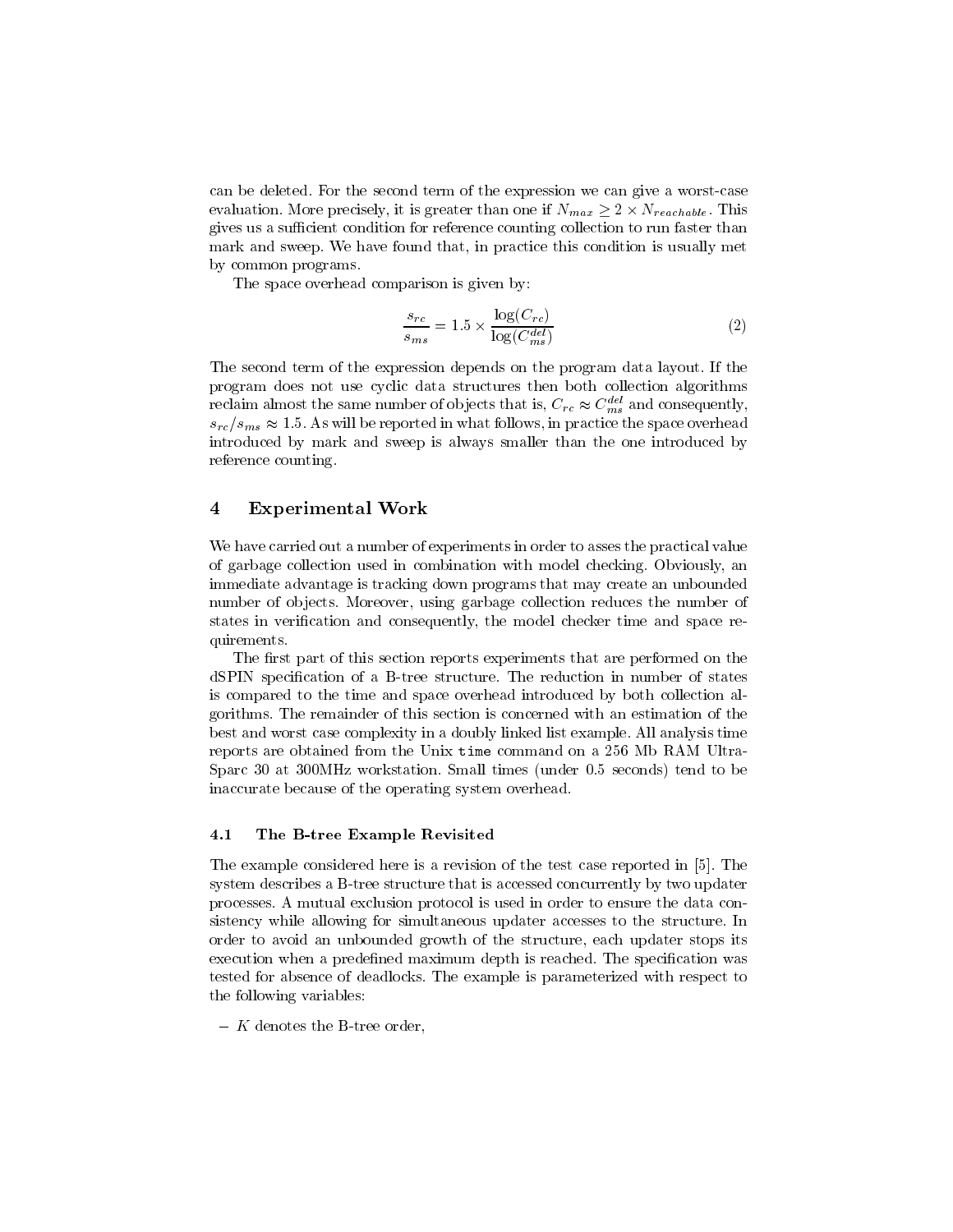can be deleted. For the second term of the expression we can give a worst-case evaluation. The contract  $\alpha$  is greater than one if  $\alpha$  is a  $\alpha$  -reachable. The  $\alpha$ gives us a sufficient condition for reference counting collection to run faster than mark and sweep. We have found that, in practice this condition is usually met by common programs.

The space overhead comparison is given by:

$$
\frac{s_{rc}}{s_{ms}} = 1.5 \times \frac{\log(C_{rc})}{\log(C_{ms}^{del})}
$$
\n
$$
\tag{2}
$$

The second term of the expression depends on the program data layout. If the program does not use cyclic data structures then both collection algorithms reclaim almost the same number of objects that is,  $\mathcal{C}_{rc} \approx \mathcal{C}_{ms}^{-1}$  and consequently,  $s_{rc}/s_{ms} \approx 1.5$ . As will be reported in what follows, in practice the space overhead introduced by mark and sweep is always smaller than the one introduced by reference counting.

### Experimental Work

We have carried out a number of experiments in order to asses the practical value of garbage collection used in combination with model checking. Obviously, an immediate advantage is tracking down programs that may create an unbounded number of objects. Moreover, using garbage collection reduces the number of states in verification and consequently, the model checker time and space requirements.

The first part of this section reports experiments that are performed on the dSPIN specication of a B-tree structure. The reduction in number of states is compared to the time and space overhead introduced by both collection algorithms. The remainder of this section is concerned with an estimation of the best and worst case complexity in a doubly linked list example. All analysis time reports are obtained from the Unix time command on a 256 Mb RAM Ultra-Sparc 30 at 300MHz workstation. Small times (under 0.5 seconds) tend to be inaccurate because of the operating system overhead.

#### 4.1The B-tree Example Revisited

The example considered here is a revision of the test case reported in [5]. The system describes a B-tree structure that is accessed concurrently by two updater processes. A mutual exclusion protocol is used in order to ensure the data consistency while allowing for simultaneous updater accesses to the structure. In order to avoid an unbounded growth of the structure, each updater stops its execution when a predefined maximum depth is reached. The specification was tested for absence of deadlocks. The example is parameterized with respect to the following variables:

{ K denotes the B-tree order,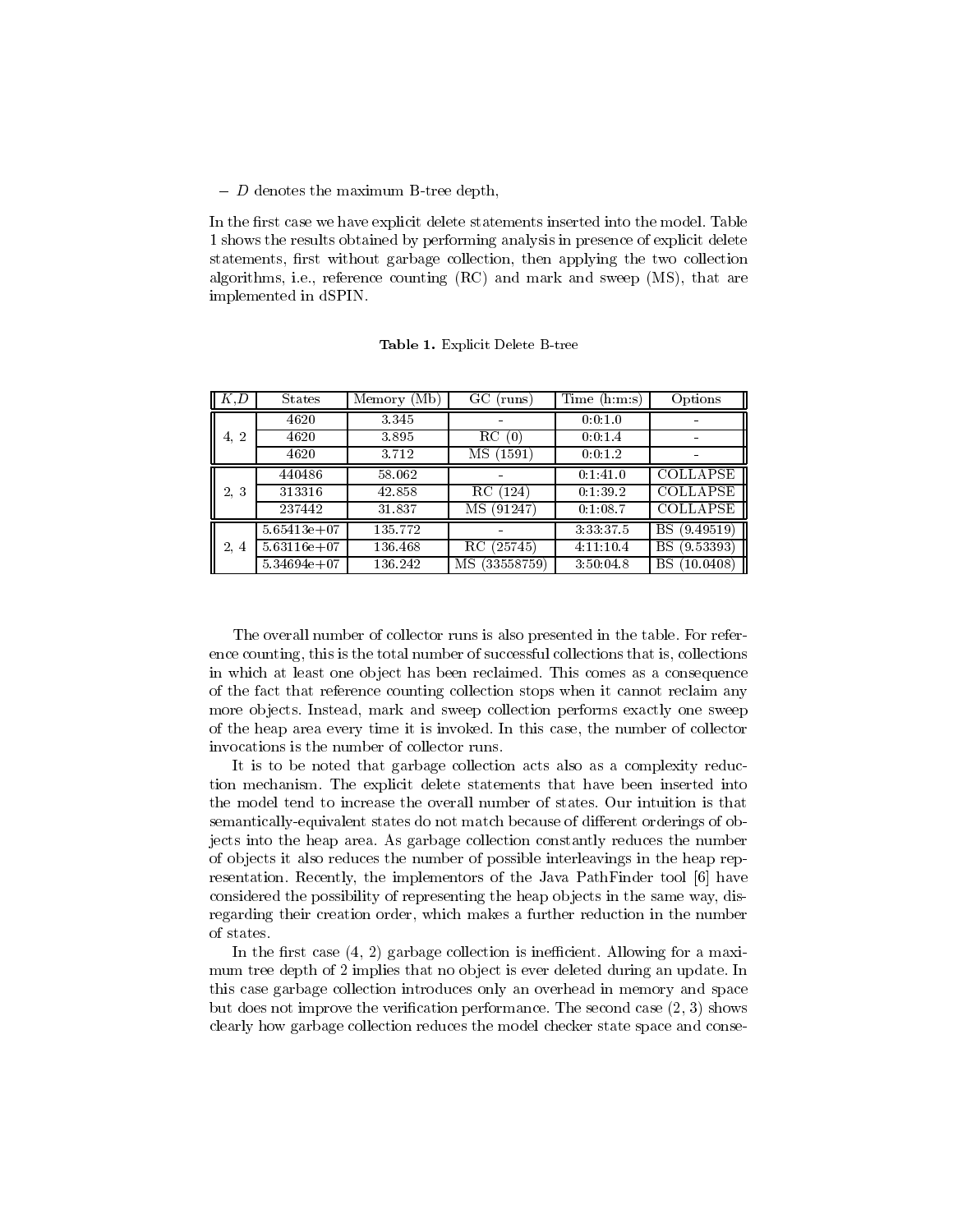$\sim$  denotes the maximum  $\sim$  tree depth,

In the first case we have explicit delete statements inserted into the model. Table 1 shows the results obtained by performing analysis in presence of explicit delete statements, first without garbage collection, then applying the two collection algorithms, i.e., reference counting (RC) and mark and sweep (MS), that are implemented in dSPIN.

| K.D                   | <b>States</b>   | Memory (Mb) | $_{\rm GC}$<br>(runs)          | Time(h:m:s) | Options                  |
|-----------------------|-----------------|-------------|--------------------------------|-------------|--------------------------|
| $\overline{2}$<br>-4. | 4620            | 3.345       |                                | 0:0:1:0     |                          |
|                       | 4620            | 3.895       | (0)<br>RC                      | 0:0:1.4     |                          |
|                       | 4620            | 3.712       | MS.<br>$\left( 1591\right)$    | 0:0:1.2     |                          |
| 2, 3                  | 440486          | 58.062      |                                | 0:1:41.0    | COLLAPSE                 |
|                       | 313316          | 42.858      | (124)<br>RC                    | 0:1:39.2    | <b>COLLAPSE</b>          |
|                       | 237442          | 31.837      | MS.<br>(91247)                 | 0:1:08.7    | <b>COLLAPSE</b>          |
| 2.<br>$\overline{4}$  | $5.65413e+07$   | 135.772     |                                | 3 3 3 3 3 5 | (9.49519)<br>BS          |
|                       | $5.63116e + 07$ | 136.468     | (25745)<br>RC.                 | 4:11:10.4   | $_{\rm BS}$<br>(9.53393) |
|                       | $5.34694e+07$   | 136.242     | $\left( 33558759\right)$<br>МS | 3:50:04.8   | (10.0408)<br>BS          |

Table 1. Explicit Delete B-tree

The overall number of collector runs is also presented in the table. For reference counting, this is the total number of successful collections that is, collections in which at least one ob ject has been reclaimed. This comes as a consequence of the fact that reference counting collection stops when it cannot reclaim any more ob jects. Instead, mark and sweep collection performs exactly one sweep of the heap area every time it is invoked. In this case, the number of collector invocations is the number of collector runs.

It is to be noted that garbage collection acts also as a complexity reduction mechanism. The explicit delete statements that have been inserted into the model tend to increase the overall number of states. Our intuition is that semantically-equivalent states do not match because of different orderings of objects into the heap area. As garbage collection constantly reduces the number of ob jects it also reduces the number of possible interleavings in the heap representation. Recently, the implementors of the Java PathFinder tool [6] have considered the possibility of representing the heap ob jects in the same way, disregarding their creation order, which makes a further reduction in the number of states.

In the first case  $(4, 2)$  garbage collection is inefficient. Allowing for a maximum tree depth of 2 implies that no object is ever deleted during an update. In this case garbage collection introduces only an overhead in memory and space but does not improve the verification performance. The second case  $(2, 3)$  shows clearly how garbage collection reduces the model checker state space and conse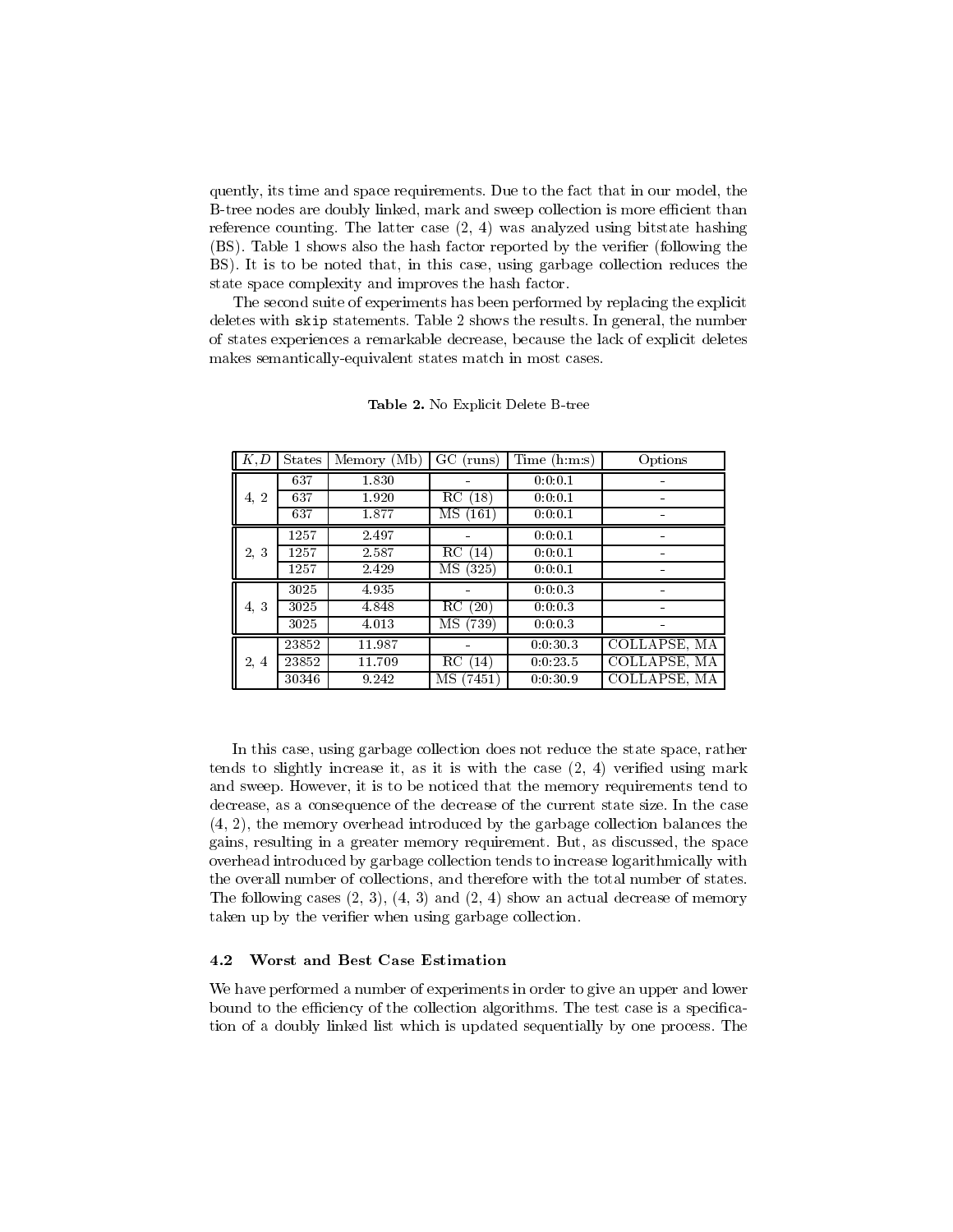quently, its time and space requirements. Due to the fact that in our model, the B-tree nodes are doubly linked, mark and sweep collection is more efficient than reference counting. The latter case (2, 4) was analyzed using bitstate hashing (BS). Table 1 shows also the hash factor reported by the verifier (following the BS). It is to be noted that, in this case, using garbage collection reduces the state space complexity and improves the hash factor.

The second suite of experiments has been performed by replacing the explicit deletes with skip statements. Table 2 shows the results. In general, the number of states experiences a remarkable decrease, because the lack of explicit deletes makes semantically-equivalent states match in most cases.

| K,D                  | <b>States</b> | Memory (Mb) | $_{\rm GC}$<br>(runs)      | Time(h:m:s) | Options      |
|----------------------|---------------|-------------|----------------------------|-------------|--------------|
|                      | 637           | 1.830       |                            | 0:0:0.1     |              |
| $\overline{2}$<br>4, | 637           | 1.920       | $_{\rm RC}$<br>(18)        | 0:0:0.1     |              |
|                      | 637           | 1.877       | ΜS<br>(161)                | 0:0:0.1     |              |
|                      | 1257          | 2.497       |                            | 0:0:0.1     |              |
| 2, 3                 | 1257          | 2.587       | RС<br>(14)                 | 0:0:0.1     |              |
|                      | 1257          | 2.429       | ΜS<br>(325)                | 0:0:0.1     |              |
|                      | 3025          | 4.935       |                            | 0:0:0.3     |              |
| 4, 3                 | 3025          | 4.848       | $\left( 20\right)$<br>RC   | 0:0:0.3     |              |
|                      | 3025          | 4.013       | ΜS<br>(739)                | 0:0:0.3     |              |
|                      | 23852         | 11.987      |                            | 0:0:30.3    | COLLAPSE, MA |
| 2.<br>4              | 23852         | 11.709      | (14)<br>RC                 | 0:0:23.5    | COLLAPSE, MA |
|                      | 30346         | 9.242       | MS.<br>$\left(7451\right)$ | 0:0:30.9    | COLLAPSE, MA |

Table 2. No Explicit Delete B-tree

In this case, using garbage collection does not reduce the state space, rather tends to slightly increase it, as it is with the case  $(2, 4)$  verified using mark and sweep. However, it is to be noticed that the memory requirements tend to decrease, as a consequence of the decrease of the current state size. In the case (4, 2), the memory overhead introduced by the garbage collection balances the gains, resulting in a greater memory requirement. But, as discussed, the space overhead introduced by garbage collection tends to increase logarithmically with the overall number of collections, and therefore with the total number of states. The following cases  $(2, 3)$ ,  $(4, 3)$  and  $(2, 4)$  show an actual decrease of memory taken up by the verifier when using garbage collection.

#### 4.2Worst and Best Case Estimation

We have performed a number of experiments in order to give an upper and lower bound to the efficiency of the collection algorithms. The test case is a specification of a doubly linked list which is updated sequentially by one process. The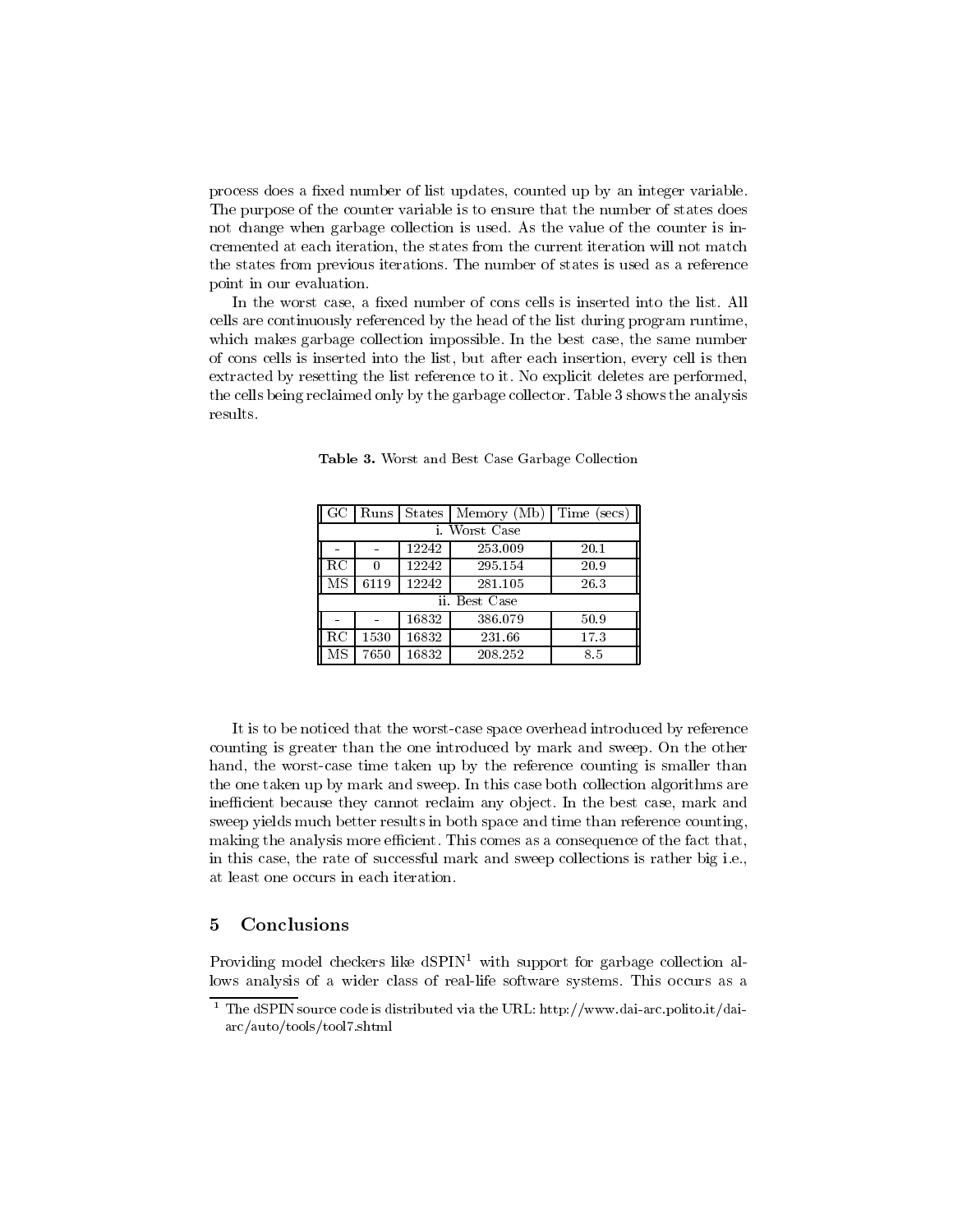process does a fixed number of list updates, counted up by an integer variable. The purpose of the counter variable is to ensure that the number of states does not change when garbage collection is used. As the value of the counter is incremented at each iteration, the states from the current iteration will not match the states from previous iterations. The number of states is used as a reference point in our evaluation.

In the worst case, a fixed number of cons cells is inserted into the list. All cells are continuously referenced by the head of the list during program runtime, which makes garbage collection impossible. In the best case, the same number of cons cells is inserted into the list, but after each insertion, every cell is then extracted by resetting the list reference to it. No explicit deletes are performed, the cells being reclaimed only by the garbage collector. Table 3 shows the analysis results.

| GC            |      | Runs States | Memory (Mb) | Time (secs) |  |  |  |
|---------------|------|-------------|-------------|-------------|--|--|--|
| i. Worst Case |      |             |             |             |  |  |  |
|               |      | 12242       | 253.009     | 20.1        |  |  |  |
| $_{\rm RC}$   |      | 12242       | 295.154     | 20.9        |  |  |  |
| МS            | 6119 | 12242       | 281.105     | 26.3        |  |  |  |
| ii. Best Case |      |             |             |             |  |  |  |
|               |      | 16832       | 386.079     | 50.9        |  |  |  |
| $_{\rm RC}$   | 1530 | 16832       | 231.66      | 17.3        |  |  |  |
| МS            | 7650 | 16832       | 208.252     | 8.5         |  |  |  |

Table 3. Worst and Best Case Garbage Collection

It is to be noticed that the worst-case space overhead introduced by reference counting is greater than the one introduced by mark and sweep. On the other hand, the worst-case time taken up by the reference counting is smaller than the one taken up by mark and sweep. In this case both collection algorithms are inefficient because they cannot reclaim any object. In the best case, mark and sweep yields much better results in both space and time than reference counting, making the analysis more efficient. This comes as a consequence of the fact that, in this case, the rate of successful mark and sweep collections is rather big i.e., at least one occurs in each iteration.

### 5Conclusions

Providing model checkers like  $\text{dSPIN}^1$  with support for garbage collection allows analysis of a wider class of real-life software systems. This occurs as a

 $\pm$  1 ne dSPIN source code is distributed via the URL: http://www.dai-arc.polito.it/daiarc/auto/tools/tool7.shtml